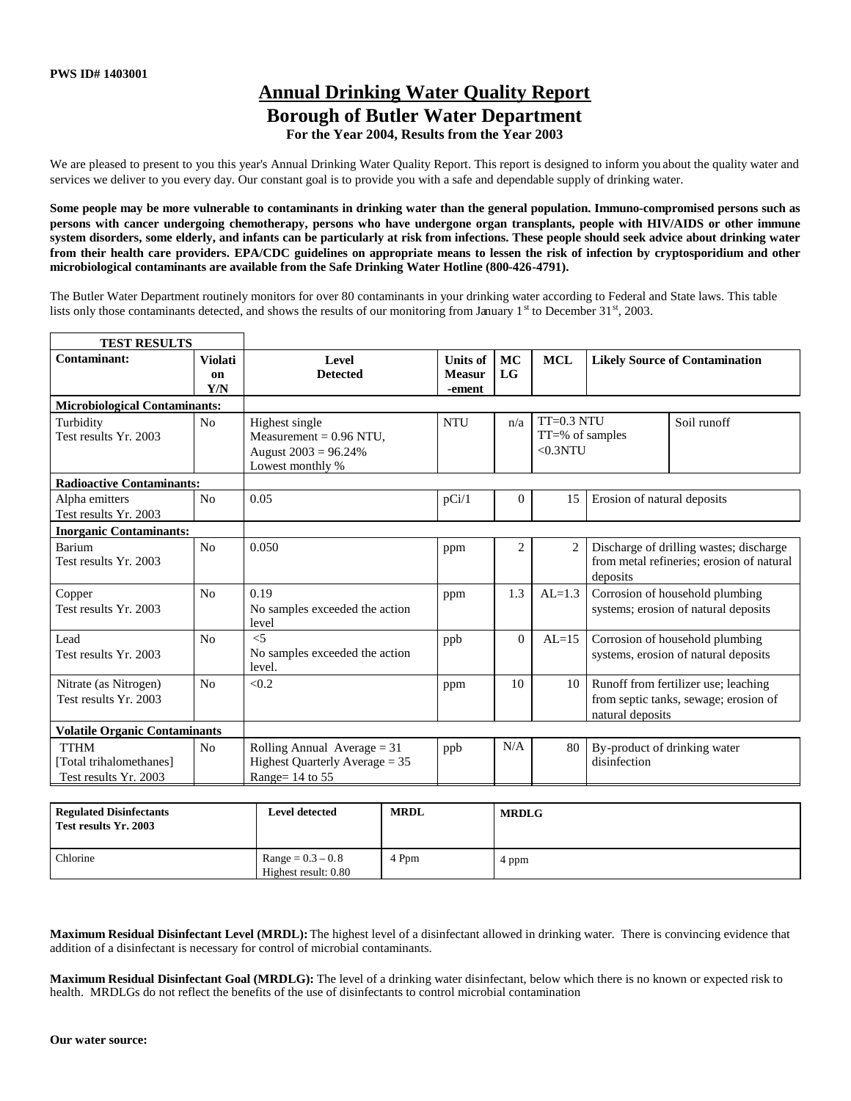# **Annual Drinking Water Quality Report Borough of Butler Water Department For the Year 2004, Results from the Year 2003**

We are pleased to present to you this year's Annual Drinking Water Quality Report. This report is designed to inform you about the quality water and services we deliver to you every day. Our constant goal is to provide you with a safe and dependable supply of drinking water.

**Some people may be more vulnerable to contaminants in drinking water than the general population. Immuno-compromised persons such as persons with cancer undergoing chemotherapy, persons who have undergone organ transplants, people with HIV/AIDS or other immune system disorders, some elderly, and infants can be particularly at risk from infections. These people should seek advice about drinking water from their health care providers. EPA/CDC guidelines on appropriate means to lessen the risk of infection by cryptosporidium and other microbiological contaminants are available from the Safe Drinking Water Hotline (800-426-4791).**

The Butler Water Department routinely monitors for over 80 contaminants in your drinking water according to Federal and State laws. This table lists only those contaminants detected, and shows the results of our monitoring from January  $1<sup>st</sup>$  to December 31 $<sup>st</sup>$ , 2003.</sup>

| <b>TEST RESULTS</b>                                             |                                        |                                                                                            |                                            |                 |                                                 |                                                                                                   |             |
|-----------------------------------------------------------------|----------------------------------------|--------------------------------------------------------------------------------------------|--------------------------------------------|-----------------|-------------------------------------------------|---------------------------------------------------------------------------------------------------|-------------|
| Contaminant:                                                    | <b>Violati</b><br><sub>on</sub><br>Y/N | <b>Level</b><br><b>Detected</b>                                                            | <b>Units of</b><br><b>Measur</b><br>-ement | <b>MC</b><br>LG | <b>MCL</b>                                      | <b>Likely Source of Contamination</b>                                                             |             |
| <b>Microbiological Contaminants:</b>                            |                                        |                                                                                            |                                            |                 |                                                 |                                                                                                   |             |
| Turbidity<br>Test results Yr. 2003                              | N <sub>0</sub>                         | Highest single<br>Measurement = $0.96$ NTU,<br>August $2003 = 96.24\%$<br>Lowest monthly % | <b>NTU</b>                                 | n/a             | $TT=0.3 NTL$<br>$TT = % of samples$<br>< 0.3NTU |                                                                                                   | Soil runoff |
| <b>Radioactive Contaminants:</b>                                |                                        |                                                                                            |                                            |                 |                                                 |                                                                                                   |             |
| Alpha emitters<br>Test results Yr. 2003                         | N <sub>0</sub>                         | 0.05                                                                                       | pCi/1                                      | $\Omega$        | 15                                              | Erosion of natural deposits                                                                       |             |
| <b>Inorganic Contaminants:</b>                                  |                                        |                                                                                            |                                            |                 |                                                 |                                                                                                   |             |
| Barium<br>Test results Yr. 2003                                 | N <sub>0</sub>                         | 0.050                                                                                      | ppm                                        | $\overline{c}$  | 2                                               | Discharge of drilling wastes; discharge<br>from metal refineries; erosion of natural<br>deposits  |             |
| Copper<br>Test results Yr. 2003                                 | N <sub>0</sub>                         | 0.19<br>No samples exceeded the action<br>level                                            | ppm                                        | 1.3             | $AL=1.3$                                        | Corrosion of household plumbing<br>systems; erosion of natural deposits                           |             |
| Lead<br>Test results Yr. 2003                                   | No                                     | $\leq 5$<br>No samples exceeded the action<br>level.                                       | ppb                                        | $\Omega$        | $AL=15$                                         | Corrosion of household plumbing<br>systems, erosion of natural deposits                           |             |
| Nitrate (as Nitrogen)<br>Test results Yr. 2003                  | N <sub>o</sub>                         | < 0.2                                                                                      | ppm                                        | 10              | 10                                              | Runoff from fertilizer use; leaching<br>from septic tanks, sewage; erosion of<br>natural deposits |             |
| <b>Volatile Organic Contaminants</b>                            |                                        |                                                                                            |                                            |                 |                                                 |                                                                                                   |             |
| <b>TTHM</b><br>[Total trihalomethanes]<br>Test results Yr. 2003 | N <sub>0</sub>                         | Rolling Annual Average $= 31$<br>Highest Quarterly Average $= 35$<br>Range= 14 to 55       | ppb                                        | N/A             | 80                                              | By-product of drinking water<br>disinfection                                                      |             |

| <b>Regulated Disinfectants</b><br>Test results Yr. 2003 | Level detected                              | <b>MRDL</b> | <b>MRDLG</b> |
|---------------------------------------------------------|---------------------------------------------|-------------|--------------|
| Chlorine                                                | $Range = 0.3 - 0.8$<br>Highest result: 0.80 | Ppm         | 4 ppm        |

**Maximum Residual Disinfectant Level (MRDL):**The highest level of a disinfectant allowed in drinking water. There is convincing evidence that addition of a disinfectant is necessary for control of microbial contaminants.

**Maximum Residual Disinfectant Goal (MRDLG):** The level of a drinking water disinfectant, below which there is no known or expected risk to health. MRDLGs do not reflect the benefits of the use of disinfectants to control microbial contamination